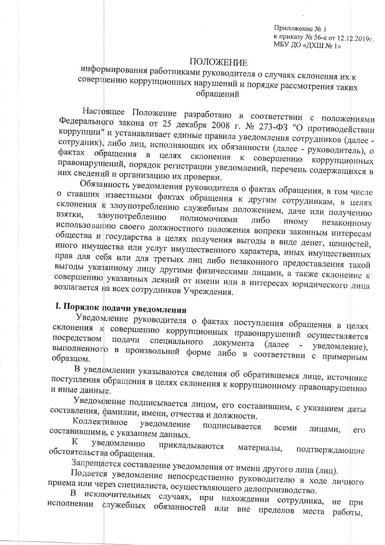Приложение № 1 к приказу № 56-к от 12.12.2019г. МБУ ДО «ДХШ № 1»

#### ПОЛОЖЕНИЕ

### информирования работниками руководителя о случаях склонения их к совершению коррупционных нарушений и порядке рассмотрения таких обращений

Настоящее Положение разработано в соответствии с положениями Федерального закона от 25 декабря 2008 г. № 273-ФЗ "О противодействии коррупции" и устанавливает единые правила уведомления сотрудников (далее сотрудник), либо лиц, исполняющих их обязанности (далее - руководитель), о фактах обращения в целях склонения к совершению коррупционных правонарушений, порядок регистрации уведомлений, перечень содержащихся в них сведений и организацию их проверки.

Обязанность уведомления руководителя о фактах обращения, в том числе о ставших известными фактах обращения к другим сотрудникам, в целях склонения к злоупотреблению служебным положением, даче или получению ВЗЯТКИ, злоупотреблению полномочиями либо иному незаконному использованию своего должностного положения вопреки законным интересам общества и государства в целях получения выгоды в виде денег, ценностей, иного имущества или услуг имущественного характера, иных имущественных прав для себя или для третьих лиц либо незаконного предоставления такой выгоды указанному лицу другими физическими лицами, а также склонение к совершению указанных деяний от имени или в интересах юридического лица возлагается на всех сотрудников Учреждения.

# І. Порядок подачи уведомления

Уведомление руководителя о фактах поступления обращения в целях склонения к совершению коррупционных правонарушений осуществляется посредством подачи специального документа (далее уведомление), выполненного в произвольной форме либо в соответствии с примерным образцом.

В уведфмлении указываются сведения об обратившемся лице, источнике поступления обращения в целях склонения к коррупционному правонарушению и иные данные.

Уведомление подписывается лицом, его составившим, с указанием даты составления, фамилии, имени, отчества и должности. Коллективное

уведомление подписывается всеми лицами, составившими, с указанием данных.  $e_{\Gamma}$ К

уведомлению прикладываются материалы, обстоятельства обращения. подтверждающие

Запрещается составление уведомления от имени другого лица (лиц).

Подается уведомление непосредственно руководителю в ходе личного приема или через специалиста, осуществляющего делопроизводство. B

исключительных случаях, при нахождении сотрудника, исполнении служебных обязанностей или вне пределов места He при работы,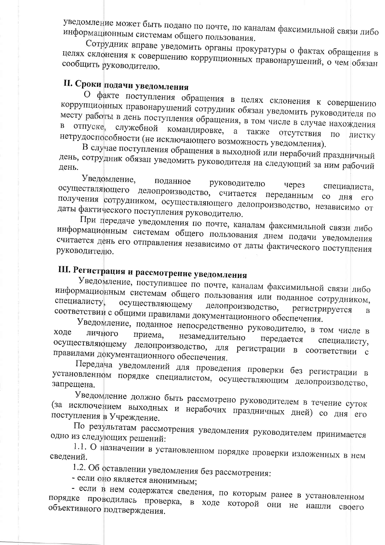уведомление может быть подано по почте, по каналам факсимильной связи либо информационным системам общего пользования.

Сотрудник вправе уведомить органы прокуратуры о фактах обращения в целях склонения к совершению коррупционных правонарушений, о чем обязан сообщить руководителю.

## II. Сроки подачи уведомления

О факте поступления обращения в целях склонения к совершению коррупционных правонарушений сотрудник обязан уведомить руководителя по месту работы в день поступления обращения, в том числе в случае нахождения в отпуске, служебной командировке, а также отсутствия нетрудоспособности (не исключающего возможность уведомления).  $\Pi$ <sup>O</sup> листку

В случае поступления обращения в выходной или нерабочий праздничный день, сотрудник обязан уведомить руководителя на следующий за ним рабочий

Уведомление, поданное руководителю через осуществляющего делопроизводство, считается переданным специалиста, получения сотрудником, осуществляющего делопроизводство, независимо от со дня даты фактического поступления руководителю.

При передаче уведомления по почте, каналам факсимильной связи либо информационным системам общего пользования днем подачи уведомления считается день его отправления независимо от даты фактического поступления руководителю.

# III. Регистрация и рассмотрение уведомления

Уведомление, поступившее по почте, каналам факсимильной связи либо информационным системам общего пользования или поданное сотрудником, специалисту, осуществляющему делопроизводство, регистрируется соответствии с общими правилами документационного обеспечения.  $\overline{B}$ 

Уведомление, поданное непосредственно руководителю, в том числе в ходе личного приема, незамедлительно передается специалисту, осуществляющему делопроизводство, для регистрации в соответствии с правилами документационного обеспечения.

Передача уведомлений для проведения проверки без регистрации в установленном порядке специалистом, осуществляющим делопроизводство, запрещена.

Уведомление должно быть рассмотрено руководителем в течение суток (за исключением выходных и нерабочих праздничных дней) со дня его поступления в Учреждение.

По результатам рассмотрения уведомления руководителем принимается одно из следующих решений:

1.1. О назначении в установленном порядке проверки изложенных в нем сведений.

1.2. Об оставлении уведомления без рассмотрения:

- если оно является анонимным;

- если в нем содержатся сведения, по которым ранее в установленном порядке проводилась проверка, в ходе которой они не нашли своего объективного подтверждения.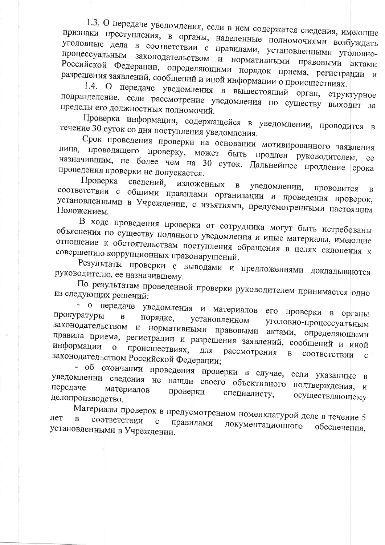1.3. О передаче уведомления, если в нем содержатся сведения, имеющие признаки преступления, в органы, наделенные полномочиями возбуждать уголовные дела в соответствии с правилами, установленными уголовнопроцессуальным законодательством и нормативными правовыми актами Российской Федерации, определяющими порядок приема, регистрации и разрешения заявлений, сообщений и иной информации о происшествиях.

1.4. О передаче уведомления в вышестоящий орган, структурное подразделение, если рассмотрение уведомления по существу выходит за пределы его должностных полномочий.

Проверка информации, содержащейся в уведомлении, проводится в течение 30 суток со дня поступления уведомления.

Срок проведения проверки на основании мотивированного заявления лица, проводящего проверку, может быть продлен руководителем, назначившим, не более чем на 30 суток. Дальнейшее продление срока проведения проверки не допускается.

Проверка сведений. изложенных  $\mathbf{B}$ уведомлении, проводится соответствии с общими правилами организации и проведения проверок,  $\overline{B}$ установленными в Учреждении, с изъятиями, предусмотренными настоящим Положением.

В ходе проведения проверки от сотрудника могут быть истребованы объяснения по существу поданного уведомления и иные материалы, имеющие отношение к обстоятельствам поступления обращения в целях склонения к совершению коррупционных правонарушений.

Результаты проверки с выводами и предложениями докладываются руководителю, ее назначившему.

По результатам проведенной проверки руководителем принимается одно из следующих решений:

- о передаче уведомления и материалов его проверки в органы прокуратуры  $\overline{B}$ порядке, установленном уголовно-процессуальным законодательством и нормативными правовыми актами, определяющими правила приема, регистрации и разрешения заявлений, сообщений и иной информации происшествиях,  $\overline{O}$ ДЛЯ рассмотрения  $\mathbf{B}$ законодательством Российской Федерации; соответствии  $\mathbf{C}$ 

- об фкончании проведения проверки в случае, если указанные уведомлении сведения не нашли своего объективного подтверждения,  $\, {\bf B}$ передаче  $\mathbf{M}$ материалов проверки специалисту, осуществляющему делопроизводство.

Материалы проверок в предусмотренном номенклатурой деле в течение 5 лет соответствии  $\mathbf{C}$ правилами документационного установленными в Учреждении. обеспечения,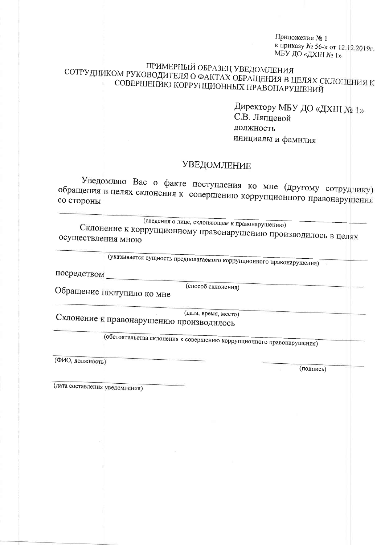Приложение № 1 к приказу № 56-к от 12.12.2019г. МБУ ДО «ДХШ № 1»

## ПРИМЕРНЫЙ ОБРАЗЕЦ УВЕДОМЛЕНИЯ СОТРУДНИКОМ РУКОВОДИТЕЛЯ О ФАКТАХ ОБРАЩЕНИЯ В ЦЕЛЯХ СКЛОНЕНИЯ К СОВЕРШЕНИЮ КОРРУПЦИОННЫХ ПРАВОНАРУШЕНИЙ

Директору МБУ ДО «ДХШ № 1» С.В. Ляпневой должность инициалы и фамилия

## **УВЕДОМЛЕНИЕ**

Уведомляю Вас о факте поступления ко мне (другому сотруднику) обращения в целях склонения к совершению коррупционного правонарушения

(сведения о лице, склоняющем к правонарушению)

Склонение к коррупционному правонарушению производилось в целях осуществления мною

(указывается сущность предполагаемого коррупционного правонарушения)

посредством

(способ склонения)

Обращение поступило ко мне

(дата, время, место) Склонение к правонарушению производилось

(обстоятельства склонения к совершению коррупционного правонарушения)

(ФИО, должность)

(подпись)

(дата составления уведомления)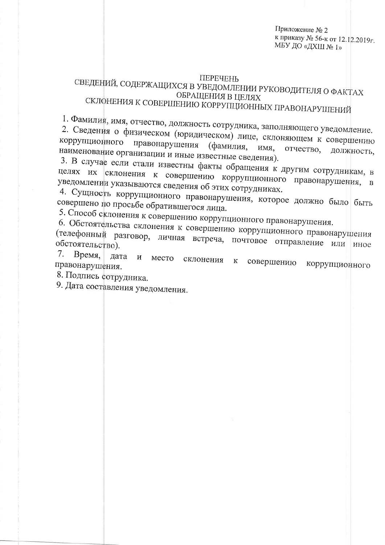Приложение № 2 к приказу № 56-к от 12.12.2019г. МБУ ДО «ДХЩ № 1»

#### **ПЕРЕЧЕНЬ**

## СВЕДЕНИЙ, СОДЕРЖАЩИХСЯ В УВЕДОМЛЕНИИ РУКОВОДИТЕЛЯ О ФАКТАХ ОБРАЩЕНИЯ В ЦЕЛЯХ СКЛОНЕНИЯ К СОВЕРШЕНИЮ КОРРУПЦИОННЫХ ПРАВОНАРУШЕНИЙ

1. Фамилия, имя, отчество, должность сотрудника, заполняющего уведомление. 2. Сведения о физическом (юридическом) лице, склоняющем к совершению коррупционного правонарушения (фамилия, имя. отчество, наименование организации и иные известные сведения). должность,

3. В случае если стали известны факты обращения к другим сотрудникам, в целях их склонения к совершению коррупционного правонарушения, в уведомлении указываются сведения об этих сотрудниках.

4. Сущность коррупционного правонарушения, которое должно было быть совершено по просьбе обратившегося лица.

5. Способ склонения к совершению коррупционного правонарушения.

6. Обстоятельства склонения к совершению коррупционного правонарушения (телефонный разговор, личная встреча, почтовое отправление или иное 7.

Время, дата место склонения И совершению  ${\bf K}$ правонарушения. коррупционного

8. Подпись сотрудника.

9. Дата составления уведомления.